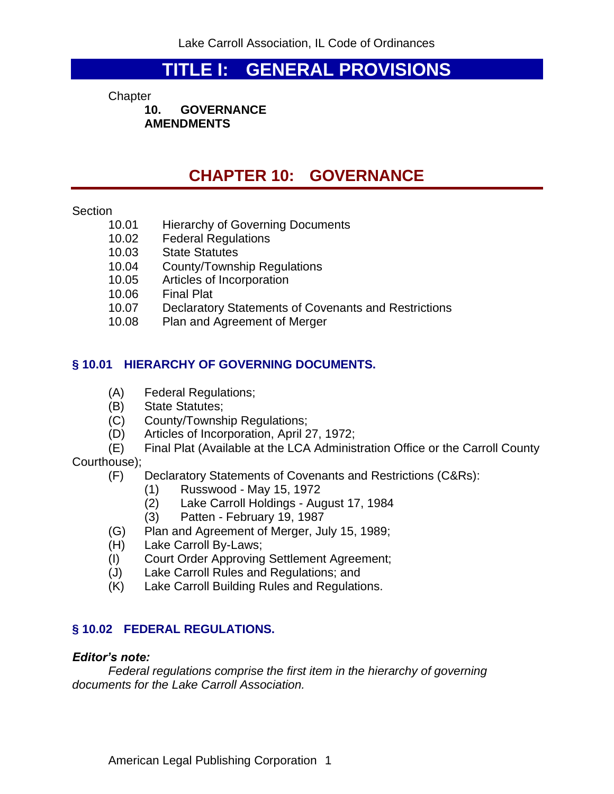# **TITLE I: GENERAL PROVISIONS**

**Chapter** 

**10. GOVERNANCE AMENDMENTS**

# **CHAPTER 10: GOVERNANCE**

### Section

- 10.01 Hierarchy of Governing Documents
- 10.02 Federal Regulations
- 10.03 State Statutes
- 10.04 County/Township Regulations<br>10.05 Articles of Incorporation
- Articles of Incorporation
- 
- 10.06 Final Plat<br>10.07 Declarator Declaratory Statements of Covenants and Restrictions
- 10.08 Plan and Agreement of Merger

## **§ 10.01 HIERARCHY OF GOVERNING DOCUMENTS.**

- (A) Federal Regulations;
- (B) State Statutes;
- (C) County/Township Regulations;
- (D) Articles of Incorporation, April 27, 1972;
- (E) Final Plat (Available at the LCA Administration Office or the Carroll County

Courthouse);

- (F) Declaratory Statements of Covenants and Restrictions (C&Rs):
	- (1) Russwood May 15, 1972
	- (2) Lake Carroll Holdings August 17, 1984
	- (3) Patten February 19, 1987
- (G) Plan and Agreement of Merger, July 15, 1989;
- (H) Lake Carroll By-Laws;
- (I) Court Order Approving Settlement Agreement;
- (J) Lake Carroll Rules and Regulations; and
- (K) Lake Carroll Building Rules and Regulations.

## **§ 10.02 FEDERAL REGULATIONS.**

### *Editor's note:*

*Federal regulations comprise the first item in the hierarchy of governing documents for the Lake Carroll Association.*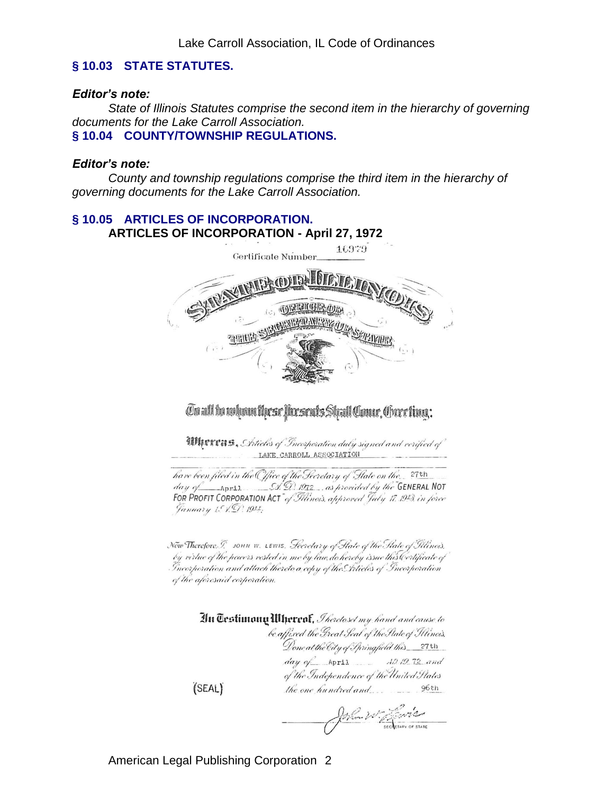### **§ 10.03 STATE STATUTES.**

#### *Editor's note:*

*State of Illinois Statutes comprise the second item in the hierarchy of governing documents for the Lake Carroll Association.* **§ 10.04 COUNTY/TOWNSHIP REGULATIONS.**

#### *Editor's note:*

*County and township regulations comprise the third item in the hierarchy of governing documents for the Lake Carroll Association.*

# **§ 10.05 ARTICLES OF INCORPORATION. ARTICLES OF INCORPORATION - April 27, 1972**



On all be relean these forsents Shall Conur, Orection:

**IDINTERS**, Setticles of Incorporation duly signed and verified of LAKE CARROLL ASSOCIATION

have been filed in the Office of the Secretary of State on the. 27th day of April  $S(\mathcal{D})$  1972, as provided by the GENERAL NOT FOR PROFIT CORPORATION ACT of Filinois, approved July 17. 1943, in force January 1. 1. 9. 194.

Now Therefore. T. JOHN W. LEWIS. Secretary of State of the State of Illinois. by virtue of the powers vested in me by law do hereby issue this Certificate of Incorporation and attach thereto a copy of the Inticles of Incorporation of the aforesaid corporation.

> An Testimony Minereof, *Iheretoset my hand and cause to* be affixed the Great Seal of the State of Illinois, Done at the City of Springfield this 27th  $day \phi^2$  April  $AD 19.72$  and of the Independence of the United States

John W. Januar

 $(SEAL)$ 

American Legal Publishing Corporation 2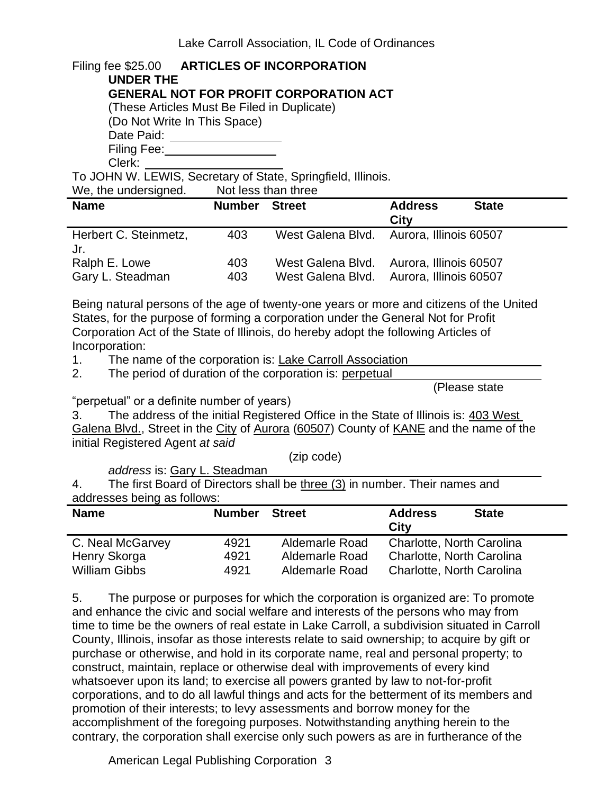| Filing fee \$25.00 ARTICLES OF INCORPORATION                 |
|--------------------------------------------------------------|
| <b>UNDER THE</b>                                             |
| <b>GENERAL NOT FOR PROFIT CORPORATION ACT</b>                |
| (These Articles Must Be Filed in Duplicate)                  |
| (Do Not Write In This Space)                                 |
| Date Paid:                                                   |
| Filing Fee:                                                  |
| Clerk:                                                       |
| To JOHN W. LEWIS, Secretary of State, Springfield, Illinois. |
| We the undersianed Mot less than three                       |

| <b>WE, THE UNIQUISITIES.</b>      |               | <b>INULICOS LIIAII LIIIUC</b>                                                        |                        |              |
|-----------------------------------|---------------|--------------------------------------------------------------------------------------|------------------------|--------------|
| <b>Name</b>                       | <b>Number</b> | <b>Street</b>                                                                        | <b>Address</b><br>City | <b>State</b> |
| Herbert C. Steinmetz,<br>Jr.      | 403           | West Galena Blvd. Aurora, Illinois 60507                                             |                        |              |
| Ralph E. Lowe<br>Gary L. Steadman | 403<br>403    | West Galena Blvd. Aurora, Illinois 60507<br>West Galena Blvd. Aurora, Illinois 60507 |                        |              |

Being natural persons of the age of twenty-one years or more and citizens of the United States, for the purpose of forming a corporation under the General Not for Profit Corporation Act of the State of Illinois, do hereby adopt the following Articles of Incorporation:

1. The name of the corporation is: Lake Carroll Association

2. The period of duration of the corporation is: perpetual

(Please state

"perpetual" or a definite number of years)

3. The address of the initial Registered Office in the State of Illinois is: 403 West Galena Blvd., Street in the City of Aurora (60507) County of KANE and the name of the initial Registered Agent *at said*

(zip code)

*address* is: Gary L. Steadman

4. The first Board of Directors shall be three (3) in number. Their names and addresses being as follows:

| <b>Name</b>          | <b>Number</b> | <b>Street</b>  | <b>Address</b><br><b>State</b><br>City |  |
|----------------------|---------------|----------------|----------------------------------------|--|
| C. Neal McGarvey     | 4921          | Aldemarle Road | Charlotte, North Carolina              |  |
| Henry Skorga         | 4921          | Aldemarle Road | Charlotte, North Carolina              |  |
| <b>William Gibbs</b> | 4921          | Aldemarle Road | Charlotte, North Carolina              |  |

5. The purpose or purposes for which the corporation is organized are: To promote and enhance the civic and social welfare and interests of the persons who may from time to time be the owners of real estate in Lake Carroll, a subdivision situated in Carroll County, Illinois, insofar as those interests relate to said ownership; to acquire by gift or purchase or otherwise, and hold in its corporate name, real and personal property; to construct, maintain, replace or otherwise deal with improvements of every kind whatsoever upon its land; to exercise all powers granted by law to not-for-profit corporations, and to do all lawful things and acts for the betterment of its members and promotion of their interests; to levy assessments and borrow money for the accomplishment of the foregoing purposes. Notwithstanding anything herein to the contrary, the corporation shall exercise only such powers as are in furtherance of the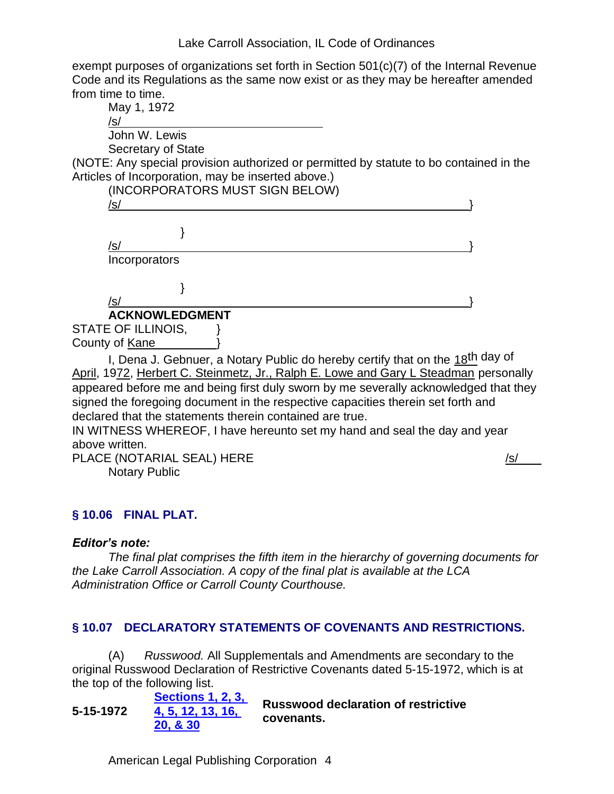exempt purposes of organizations set forth in Section 501(c)(7) of the Internal Revenue Code and its Regulations as the same now exist or as they may be hereafter amended from time to time.



I, Dena J. Gebnuer, a Notary Public do hereby certify that on the 18th day of April, 1972, Herbert C. Steinmetz, Jr., Ralph E. Lowe and Gary L Steadman personally appeared before me and being first duly sworn by me severally acknowledged that they signed the foregoing document in the respective capacities therein set forth and declared that the statements therein contained are true.

IN WITNESS WHEREOF, I have hereunto set my hand and seal the day and year above written.

PLACE (NOTARIAL SEAL) HERE /s/ Notary Public

# **§ 10.06 FINAL PLAT.**

### *Editor's note:*

*The final plat comprises the fifth item in the hierarchy of governing documents for the Lake Carroll Association. A copy of the final plat is available at the LCA Administration Office or Carroll County Courthouse.*

### **§ 10.07 DECLARATORY STATEMENTS OF COVENANTS AND RESTRICTIONS.**

(A) *Russwood.* All Supplementals and Amendments are secondary to the original Russwood Declaration of Restrictive Covenants dated 5-15-1972, which is at the top of the following list.

**5-15-1972 [Sections 1, 2, 3,](http://www.amlegal.com/pdffiles/LakeCarrollAssoc/Russwood/Russwood.pdf)  [4, 5, 12, 13, 16,](http://www.amlegal.com/pdffiles/LakeCarrollAssoc/Russwood/Russwood.pdf)  [20, & 30](http://www.amlegal.com/pdffiles/LakeCarrollAssoc/Russwood/Russwood.pdf) Russwood declaration of restrictive covenants.**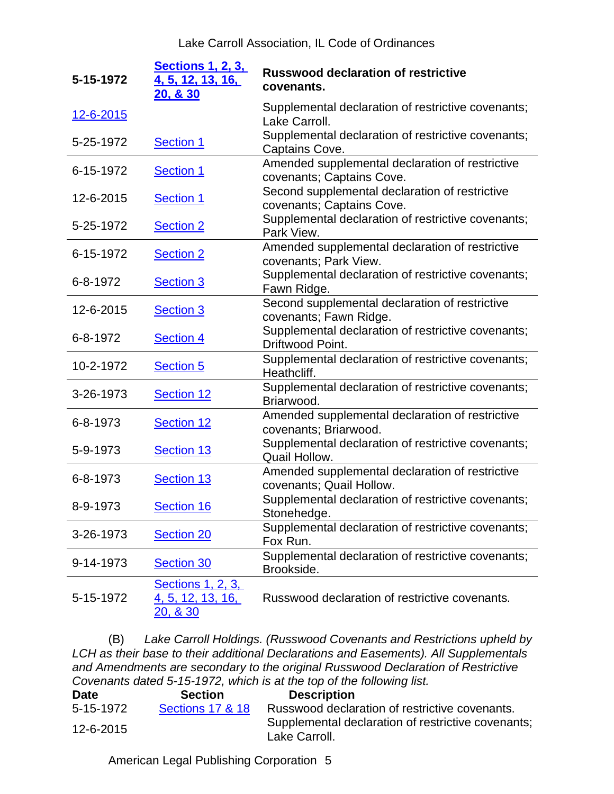| 5-15-1972 | <b>Sections 1, 2, 3,</b><br>4, 5, 12, 13, 16,<br><b>20, &amp; 30</b> | <b>Russwood declaration of restrictive</b><br>covenants.                     |
|-----------|----------------------------------------------------------------------|------------------------------------------------------------------------------|
| 12-6-2015 |                                                                      | Supplemental declaration of restrictive covenants;<br>Lake Carroll.          |
| 5-25-1972 | <b>Section 1</b>                                                     | Supplemental declaration of restrictive covenants;<br>Captains Cove.         |
| 6-15-1972 | <b>Section 1</b>                                                     | Amended supplemental declaration of restrictive<br>covenants; Captains Cove. |
| 12-6-2015 | <b>Section 1</b>                                                     | Second supplemental declaration of restrictive<br>covenants; Captains Cove.  |
| 5-25-1972 | <b>Section 2</b>                                                     | Supplemental declaration of restrictive covenants;<br>Park View.             |
| 6-15-1972 | <b>Section 2</b>                                                     | Amended supplemental declaration of restrictive<br>covenants; Park View.     |
| 6-8-1972  | <b>Section 3</b>                                                     | Supplemental declaration of restrictive covenants;<br>Fawn Ridge.            |
| 12-6-2015 | <b>Section 3</b>                                                     | Second supplemental declaration of restrictive<br>covenants; Fawn Ridge.     |
| 6-8-1972  | <b>Section 4</b>                                                     | Supplemental declaration of restrictive covenants;<br>Driftwood Point.       |
| 10-2-1972 | <b>Section 5</b>                                                     | Supplemental declaration of restrictive covenants;<br>Heathcliff.            |
| 3-26-1973 | Section 12                                                           | Supplemental declaration of restrictive covenants;<br>Briarwood.             |
| 6-8-1973  | Section 12                                                           | Amended supplemental declaration of restrictive<br>covenants; Briarwood.     |
| 5-9-1973  | Section 13                                                           | Supplemental declaration of restrictive covenants;<br>Quail Hollow.          |
| 6-8-1973  | Section 13                                                           | Amended supplemental declaration of restrictive<br>covenants; Quail Hollow.  |
| 8-9-1973  | Section 16                                                           | Supplemental declaration of restrictive covenants;<br>Stonehedge.            |
| 3-26-1973 | <b>Section 20</b>                                                    | Supplemental declaration of restrictive covenants;<br>Fox Run.               |
| 9-14-1973 | Section 30                                                           | Supplemental declaration of restrictive covenants;<br>Brookside.             |
| 5-15-1972 | <b>Sections 1, 2, 3,</b><br>4, 5, 12, 13, 16,<br><u>20, &amp; 30</u> | Russwood declaration of restrictive covenants.                               |

(B) *Lake Carroll Holdings. (Russwood Covenants and Restrictions upheld by LCH as their base to their additional Declarations and Easements). All Supplementals and Amendments are secondary to the original Russwood Declaration of Restrictive Covenants dated 5-15-1972, which is at the top of the following list.*

| <b>Date</b> | <b>Section</b>              | <b>Description</b>                                                  |
|-------------|-----------------------------|---------------------------------------------------------------------|
| 5-15-1972   | <b>Sections 17 &amp; 18</b> | Russwood declaration of restrictive covenants.                      |
| 12-6-2015   |                             | Supplemental declaration of restrictive covenants;<br>Lake Carroll. |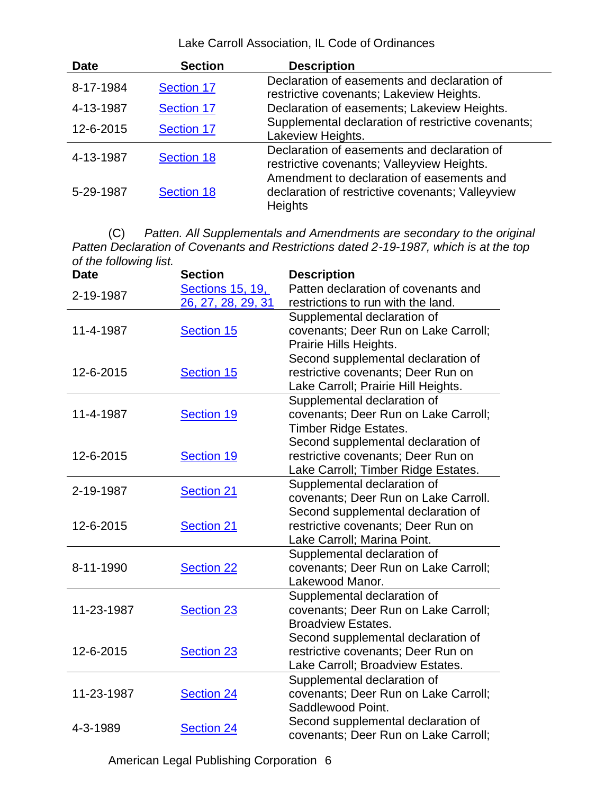| <b>Date</b> | <b>Section</b>    | <b>Description</b>                                                                                              |
|-------------|-------------------|-----------------------------------------------------------------------------------------------------------------|
| 8-17-1984   | Section 17        | Declaration of easements and declaration of<br>restrictive covenants; Lakeview Heights.                         |
| 4-13-1987   | <b>Section 17</b> | Declaration of easements; Lakeview Heights.                                                                     |
| 12-6-2015   | <b>Section 17</b> | Supplemental declaration of restrictive covenants;<br>Lakeview Heights.                                         |
| 4-13-1987   | <b>Section 18</b> | Declaration of easements and declaration of<br>restrictive covenants; Valleyview Heights.                       |
| 5-29-1987   | Section 18        | Amendment to declaration of easements and<br>declaration of restrictive covenants; Valleyview<br><b>Heights</b> |

(C) *Patten. All Supplementals and Amendments are secondary to the original Patten Declaration of Covenants and Restrictions dated 2-19-1987, which is at the top of the following list.*

| <b>Date</b> | <b>Section</b>     | <b>Description</b>                   |
|-------------|--------------------|--------------------------------------|
| 2-19-1987   | Sections 15, 19,   | Patten declaration of covenants and  |
|             | 26, 27, 28, 29, 31 | restrictions to run with the land.   |
|             |                    | Supplemental declaration of          |
| 11-4-1987   | Section 15         | covenants; Deer Run on Lake Carroll; |
|             |                    | Prairie Hills Heights.               |
|             |                    | Second supplemental declaration of   |
| 12-6-2015   | <b>Section 15</b>  | restrictive covenants; Deer Run on   |
|             |                    | Lake Carroll; Prairie Hill Heights.  |
|             |                    | Supplemental declaration of          |
| 11-4-1987   | Section 19         | covenants; Deer Run on Lake Carroll; |
|             |                    | <b>Timber Ridge Estates.</b>         |
|             |                    | Second supplemental declaration of   |
| 12-6-2015   | Section 19         | restrictive covenants; Deer Run on   |
|             |                    | Lake Carroll; Timber Ridge Estates.  |
|             |                    | Supplemental declaration of          |
| 2-19-1987   | <b>Section 21</b>  | covenants; Deer Run on Lake Carroll. |
|             |                    | Second supplemental declaration of   |
| 12-6-2015   | <b>Section 21</b>  | restrictive covenants; Deer Run on   |
|             |                    | Lake Carroll; Marina Point.          |
|             |                    | Supplemental declaration of          |
| 8-11-1990   | <b>Section 22</b>  | covenants; Deer Run on Lake Carroll; |
|             |                    | Lakewood Manor.                      |
|             |                    | Supplemental declaration of          |
| 11-23-1987  | <b>Section 23</b>  | covenants; Deer Run on Lake Carroll; |
|             |                    | <b>Broadview Estates.</b>            |
|             |                    | Second supplemental declaration of   |
| 12-6-2015   | <b>Section 23</b>  | restrictive covenants; Deer Run on   |
|             |                    | Lake Carroll; Broadview Estates.     |
|             |                    | Supplemental declaration of          |
| 11-23-1987  | <b>Section 24</b>  | covenants; Deer Run on Lake Carroll; |
|             |                    | Saddlewood Point.                    |
|             |                    | Second supplemental declaration of   |
| 4-3-1989    | <b>Section 24</b>  | covenants; Deer Run on Lake Carroll; |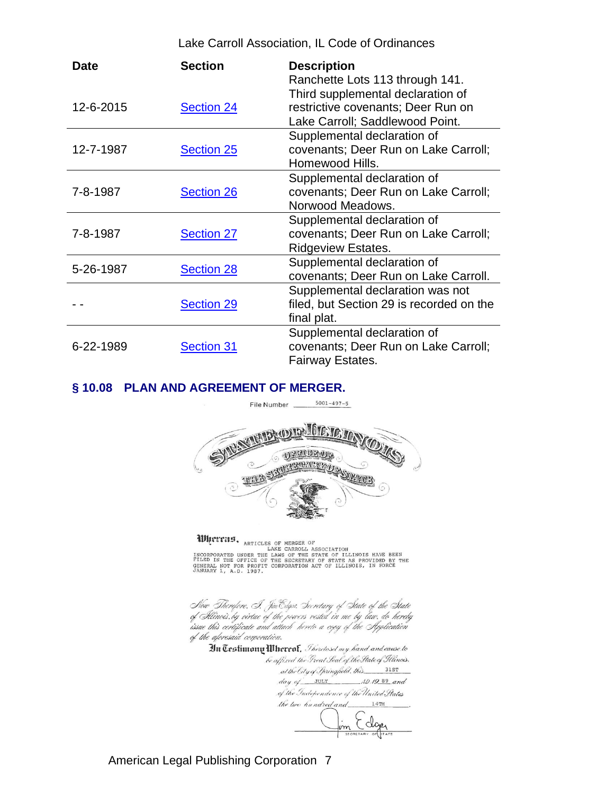| <b>Date</b> | <b>Section</b>    | <b>Description</b>                                                                                                                            |
|-------------|-------------------|-----------------------------------------------------------------------------------------------------------------------------------------------|
| 12-6-2015   | <b>Section 24</b> | Ranchette Lots 113 through 141.<br>Third supplemental declaration of<br>restrictive covenants; Deer Run on<br>Lake Carroll; Saddlewood Point. |
| 12-7-1987   | <b>Section 25</b> | Supplemental declaration of<br>covenants; Deer Run on Lake Carroll;<br>Homewood Hills.                                                        |
| 7-8-1987    | <b>Section 26</b> | Supplemental declaration of<br>covenants; Deer Run on Lake Carroll;<br>Norwood Meadows.                                                       |
| 7-8-1987    | <b>Section 27</b> | Supplemental declaration of<br>covenants; Deer Run on Lake Carroll;<br><b>Ridgeview Estates.</b>                                              |
| 5-26-1987   | <b>Section 28</b> | Supplemental declaration of<br>covenants; Deer Run on Lake Carroll.                                                                           |
|             | <b>Section 29</b> | Supplemental declaration was not<br>filed, but Section 29 is recorded on the<br>final plat.                                                   |
| 6-22-1989   | <b>Section 31</b> | Supplemental declaration of<br>covenants; Deer Run on Lake Carroll;<br>Fairway Estates.                                                       |

#### **§ 10.08 PLAN AND AGREEMENT OF MERGER.**



WINTING, ARTICLES OF MERGER OF<br>INCORPORATED UNDER THE LAWS CARROLL ASSOCIATION<br>FILED IN THE OFFICE OF THE SECRETARY OF STATE AS PROVIDED BY THE<br>GENERAL NOT FOR PROFIT CORPORATION ACT OF ILLINOIS, IN FORCE<br>JANUARY 1, A.D. 1

Now Therefore. I. JinEdgor. Secretary of State of the State<br>of Illinois.by virtue of the powers vested in me by law. do hereby issue this certificate and attach hereto a copy of the Application of the afcresaid corporation.

In Trestimony *Whereof, Theretoset my hand and cause to* 

be affixed the Great Seal of the State of Illinois. at the City of Springfield, this 31ST  $day of$  JULY  $AD/9$  89 and of the Independence of the United States the live hundred and 14TH

m Ecloper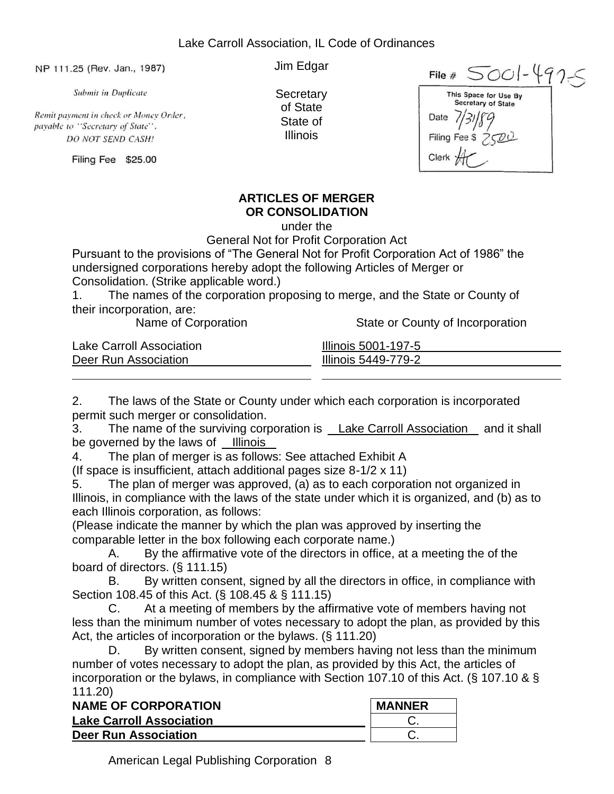NP 111.25 (Rev. Jan., 1987)

**Submit in Duplicate** 

Remit payment in check or Money Order, payable to "Secretary of State". DO NOT SEND CASH!

Filing Fee \$25.00

Jim Edgar

**Secretary** of State State of Illinois

 $5001 - 4925$ File  $#$ This Space for Use By Secretary of State Date  $/$ **Filing Fee** Clerk

# **ARTICLES OF MERGER OR CONSOLIDATION**

under the

General Not for Profit Corporation Act

Pursuant to the provisions of "The General Not for Profit Corporation Act of 1986" the undersigned corporations hereby adopt the following Articles of Merger or Consolidation. (Strike applicable word.)

1. The names of the corporation proposing to merge, and the State or County of their incorporation, are:

Name of Corporation State or County of Incorporation

| <b>Lake Carroll Association</b> | Illinois 5001-197-5 |
|---------------------------------|---------------------|
| Deer Run Association            | Illinois 5449-779-2 |
|                                 |                     |

2. The laws of the State or County under which each corporation is incorporated permit such merger or consolidation.

3. The name of the surviving corporation is Lake Carroll Association and it shall be governed by the laws of Illinois

4. The plan of merger is as follows: See attached Exhibit A

(If space is insufficient, attach additional pages size 8-1/2 x 11)

5. The plan of merger was approved, (a) as to each corporation not organized in Illinois, in compliance with the laws of the state under which it is organized, and (b) as to each Illinois corporation, as follows:

(Please indicate the manner by which the plan was approved by inserting the comparable letter in the box following each corporate name.)

A. By the affirmative vote of the directors in office, at a meeting the of the board of directors. (§ 111.15)

B. By written consent, signed by all the directors in office, in compliance with Section 108.45 of this Act. (§ 108.45 & § 111.15)

C. At a meeting of members by the affirmative vote of members having not less than the minimum number of votes necessary to adopt the plan, as provided by this Act, the articles of incorporation or the bylaws. (§ 111.20)

D. By written consent, signed by members having not less than the minimum number of votes necessary to adopt the plan, as provided by this Act, the articles of incorporation or the bylaws, in compliance with Section 107.10 of this Act. (§ 107.10 & § 111.20)

| <b>NAME OF CORPORATION</b>      | <b>MANNER</b> |
|---------------------------------|---------------|
| <b>Lake Carroll Association</b> |               |
| <b>Deer Run Association</b>     |               |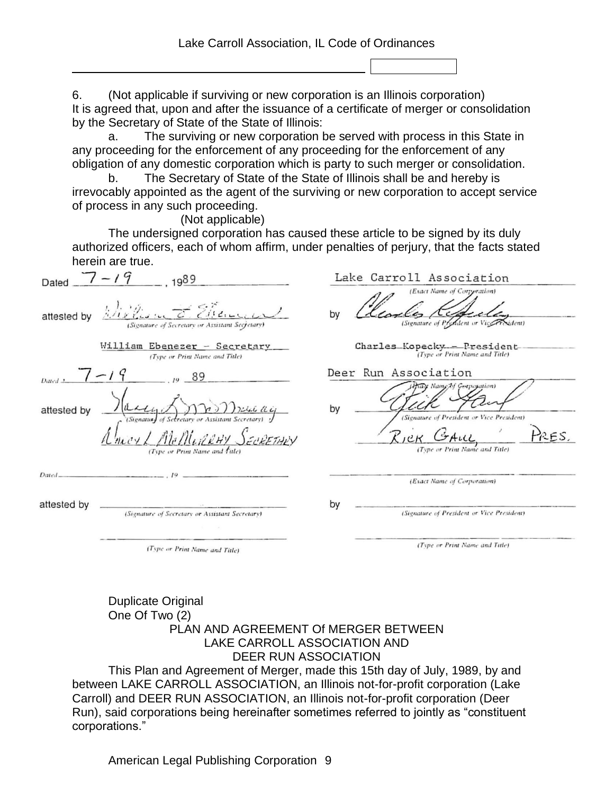6. (Not applicable if surviving or new corporation is an Illinois corporation) It is agreed that, upon and after the issuance of a certificate of merger or consolidation by the Secretary of State of the State of Illinois:

a. The surviving or new corporation be served with process in this State in any proceeding for the enforcement of any proceeding for the enforcement of any obligation of any domestic corporation which is party to such merger or consolidation.

b. The Secretary of State of the State of Illinois shall be and hereby is irrevocably appointed as the agent of the surviving or new corporation to accept service of process in any such proceeding.

(Not applicable)

The undersigned corporation has caused these article to be signed by its duly authorized officers, each of whom affirm, under penalties of perjury, that the facts stated herein are true.

| Dated       | $7 - 19$<br>g89                                                                   | Lake Carroll Association                                                                                                 |
|-------------|-----------------------------------------------------------------------------------|--------------------------------------------------------------------------------------------------------------------------|
| attested by | (Signature of Secretary or Assistant Secretary)                                   | (Exact Name of Corperation)<br>by<br>(Signature of Pryddent or Vicerrexident)                                            |
|             | William Ebenezer - Secretary<br>(Type or Print Name and Title)                    | Charles_Kopecky_-President-<br>(Type or Print Name and Title)                                                            |
| Dated 2     | 89                                                                                | Deer Run Association                                                                                                     |
| attested by | of Secretary or Assistant Secretar<br>(Signatur)<br>(Type or Print Name and fule) | Hany Name by Gorpopation)<br>by<br>(Signature of President or Vice President)<br>PRES.<br>(Type or Print Name and Title) |
| Dated-      |                                                                                   | (Exact Name of Corporation)                                                                                              |
| attested by | (Signature of Secretary or Assistant Secretary)                                   | by<br>(Signature of President or Vice President)                                                                         |
|             | (Type or Print Name and Title)                                                    | (Type or Print Name and Title)                                                                                           |

#### Duplicate Original One Of Two (2) PLAN AND AGREEMENT Of MERGER BETWEEN LAKE CARROLL ASSOCIATION AND DEER RUN ASSOCIATION

This Plan and Agreement of Merger, made this 15th day of July, 1989, by and between LAKE CARROLL ASSOCIATION, an Illinois not-for-profit corporation (Lake Carroll) and DEER RUN ASSOCIATION, an Illinois not-for-profit corporation (Deer Run), said corporations being hereinafter sometimes referred to jointly as "constituent corporations."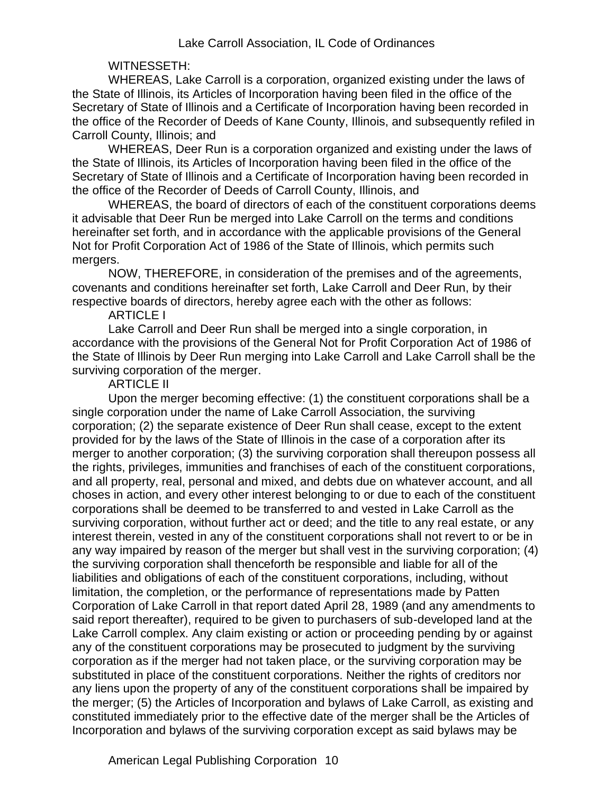## WITNESSETH:

WHEREAS, Lake Carroll is a corporation, organized existing under the laws of the State of Illinois, its Articles of Incorporation having been filed in the office of the Secretary of State of Illinois and a Certificate of Incorporation having been recorded in the office of the Recorder of Deeds of Kane County, Illinois, and subsequently refiled in Carroll County, Illinois; and

WHEREAS, Deer Run is a corporation organized and existing under the laws of the State of Illinois, its Articles of Incorporation having been filed in the office of the Secretary of State of Illinois and a Certificate of Incorporation having been recorded in the office of the Recorder of Deeds of Carroll County, Illinois, and

WHEREAS, the board of directors of each of the constituent corporations deems it advisable that Deer Run be merged into Lake Carroll on the terms and conditions hereinafter set forth, and in accordance with the applicable provisions of the General Not for Profit Corporation Act of 1986 of the State of Illinois, which permits such mergers.

NOW, THEREFORE, in consideration of the premises and of the agreements, covenants and conditions hereinafter set forth, Lake Carroll and Deer Run, by their respective boards of directors, hereby agree each with the other as follows:

#### ARTICLE I

Lake Carroll and Deer Run shall be merged into a single corporation, in accordance with the provisions of the General Not for Profit Corporation Act of 1986 of the State of Illinois by Deer Run merging into Lake Carroll and Lake Carroll shall be the surviving corporation of the merger.

#### ARTICLE II

Upon the merger becoming effective: (1) the constituent corporations shall be a single corporation under the name of Lake Carroll Association, the surviving corporation; (2) the separate existence of Deer Run shall cease, except to the extent provided for by the laws of the State of Illinois in the case of a corporation after its merger to another corporation; (3) the surviving corporation shall thereupon possess all the rights, privileges, immunities and franchises of each of the constituent corporations, and all property, real, personal and mixed, and debts due on whatever account, and all choses in action, and every other interest belonging to or due to each of the constituent corporations shall be deemed to be transferred to and vested in Lake Carroll as the surviving corporation, without further act or deed; and the title to any real estate, or any interest therein, vested in any of the constituent corporations shall not revert to or be in any way impaired by reason of the merger but shall vest in the surviving corporation; (4) the surviving corporation shall thenceforth be responsible and liable for all of the liabilities and obligations of each of the constituent corporations, including, without limitation, the completion, or the performance of representations made by Patten Corporation of Lake Carroll in that report dated April 28, 1989 (and any amendments to said report thereafter), required to be given to purchasers of sub-developed land at the Lake Carroll complex. Any claim existing or action or proceeding pending by or against any of the constituent corporations may be prosecuted to judgment by the surviving corporation as if the merger had not taken place, or the surviving corporation may be substituted in place of the constituent corporations. Neither the rights of creditors nor any liens upon the property of any of the constituent corporations shall be impaired by the merger; (5) the Articles of Incorporation and bylaws of Lake Carroll, as existing and constituted immediately prior to the effective date of the merger shall be the Articles of Incorporation and bylaws of the surviving corporation except as said bylaws may be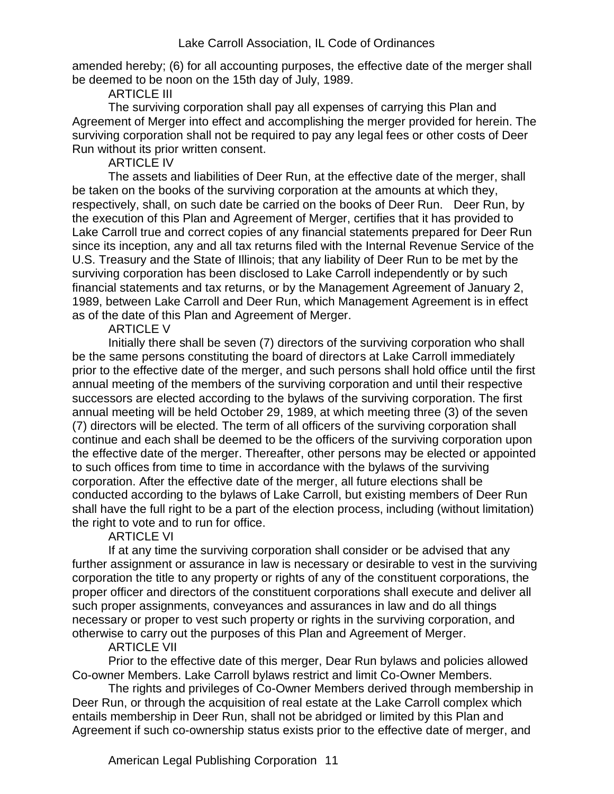amended hereby; (6) for all accounting purposes, the effective date of the merger shall be deemed to be noon on the 15th day of July, 1989.

ARTICLE III

The surviving corporation shall pay all expenses of carrying this Plan and Agreement of Merger into effect and accomplishing the merger provided for herein. The surviving corporation shall not be required to pay any legal fees or other costs of Deer Run without its prior written consent.

ARTICLE IV

The assets and liabilities of Deer Run, at the effective date of the merger, shall be taken on the books of the surviving corporation at the amounts at which they, respectively, shall, on such date be carried on the books of Deer Run. Deer Run, by the execution of this Plan and Agreement of Merger, certifies that it has provided to Lake Carroll true and correct copies of any financial statements prepared for Deer Run since its inception, any and all tax returns filed with the Internal Revenue Service of the U.S. Treasury and the State of Illinois; that any liability of Deer Run to be met by the surviving corporation has been disclosed to Lake Carroll independently or by such financial statements and tax returns, or by the Management Agreement of January 2, 1989, between Lake Carroll and Deer Run, which Management Agreement is in effect as of the date of this Plan and Agreement of Merger.

ARTICLE V

Initially there shall be seven (7) directors of the surviving corporation who shall be the same persons constituting the board of directors at Lake Carroll immediately prior to the effective date of the merger, and such persons shall hold office until the first annual meeting of the members of the surviving corporation and until their respective successors are elected according to the bylaws of the surviving corporation. The first annual meeting will be held October 29, 1989, at which meeting three (3) of the seven (7) directors will be elected. The term of all officers of the surviving corporation shall continue and each shall be deemed to be the officers of the surviving corporation upon the effective date of the merger. Thereafter, other persons may be elected or appointed to such offices from time to time in accordance with the bylaws of the surviving corporation. After the effective date of the merger, all future elections shall be conducted according to the bylaws of Lake Carroll, but existing members of Deer Run shall have the full right to be a part of the election process, including (without limitation) the right to vote and to run for office.

### ARTICLE VI

If at any time the surviving corporation shall consider or be advised that any further assignment or assurance in law is necessary or desirable to vest in the surviving corporation the title to any property or rights of any of the constituent corporations, the proper officer and directors of the constituent corporations shall execute and deliver all such proper assignments, conveyances and assurances in law and do all things necessary or proper to vest such property or rights in the surviving corporation, and otherwise to carry out the purposes of this Plan and Agreement of Merger.

### ARTICLE VII

Prior to the effective date of this merger, Dear Run bylaws and policies allowed Co-owner Members. Lake Carroll bylaws restrict and limit Co-Owner Members.

The rights and privileges of Co-Owner Members derived through membership in Deer Run, or through the acquisition of real estate at the Lake Carroll complex which entails membership in Deer Run, shall not be abridged or limited by this Plan and Agreement if such co-ownership status exists prior to the effective date of merger, and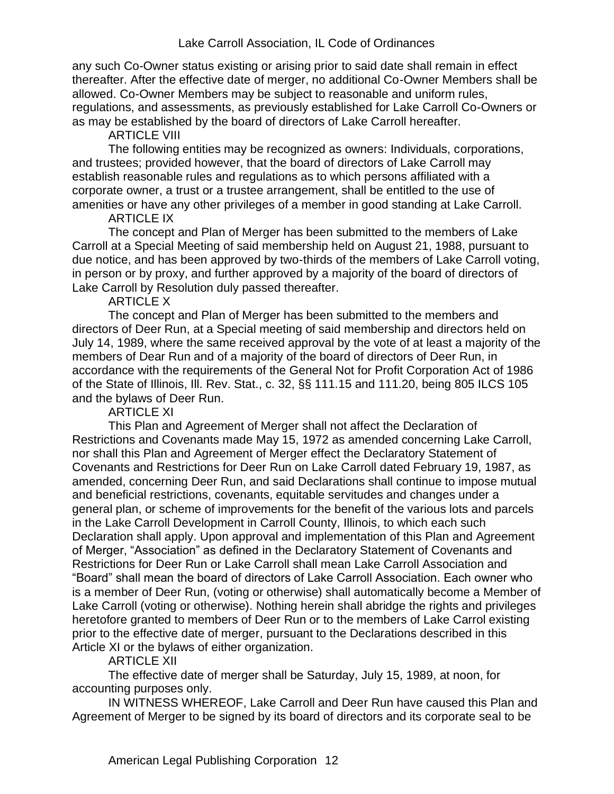any such Co-Owner status existing or arising prior to said date shall remain in effect thereafter. After the effective date of merger, no additional Co-Owner Members shall be allowed. Co-Owner Members may be subject to reasonable and uniform rules, regulations, and assessments, as previously established for Lake Carroll Co-Owners or as may be established by the board of directors of Lake Carroll hereafter.

ARTICLE VIII

The following entities may be recognized as owners: Individuals, corporations, and trustees; provided however, that the board of directors of Lake Carroll may establish reasonable rules and regulations as to which persons affiliated with a corporate owner, a trust or a trustee arrangement, shall be entitled to the use of amenities or have any other privileges of a member in good standing at Lake Carroll.

ARTICLE IX

The concept and Plan of Merger has been submitted to the members of Lake Carroll at a Special Meeting of said membership held on August 21, 1988, pursuant to due notice, and has been approved by two-thirds of the members of Lake Carroll voting, in person or by proxy, and further approved by a majority of the board of directors of Lake Carroll by Resolution duly passed thereafter.

ARTICLE X

The concept and Plan of Merger has been submitted to the members and directors of Deer Run, at a Special meeting of said membership and directors held on July 14, 1989, where the same received approval by the vote of at least a majority of the members of Dear Run and of a majority of the board of directors of Deer Run, in accordance with the requirements of the General Not for Profit Corporation Act of 1986 of the State of Illinois, Ill. Rev. Stat., c. 32, §§ 111.15 and 111.20, being 805 ILCS 105 and the bylaws of Deer Run.

ARTICLE XI

This Plan and Agreement of Merger shall not affect the Declaration of Restrictions and Covenants made May 15, 1972 as amended concerning Lake Carroll, nor shall this Plan and Agreement of Merger effect the Declaratory Statement of Covenants and Restrictions for Deer Run on Lake Carroll dated February 19, 1987, as amended, concerning Deer Run, and said Declarations shall continue to impose mutual and beneficial restrictions, covenants, equitable servitudes and changes under a general plan, or scheme of improvements for the benefit of the various lots and parcels in the Lake Carroll Development in Carroll County, Illinois, to which each such Declaration shall apply. Upon approval and implementation of this Plan and Agreement of Merger, "Association" as defined in the Declaratory Statement of Covenants and Restrictions for Deer Run or Lake Carroll shall mean Lake Carroll Association and "Board" shall mean the board of directors of Lake Carroll Association. Each owner who is a member of Deer Run, (voting or otherwise) shall automatically become a Member of Lake Carroll (voting or otherwise). Nothing herein shall abridge the rights and privileges heretofore granted to members of Deer Run or to the members of Lake Carrol existing prior to the effective date of merger, pursuant to the Declarations described in this Article XI or the bylaws of either organization.

ARTICLE XII

The effective date of merger shall be Saturday, July 15, 1989, at noon, for accounting purposes only.

IN WITNESS WHEREOF, Lake Carroll and Deer Run have caused this Plan and Agreement of Merger to be signed by its board of directors and its corporate seal to be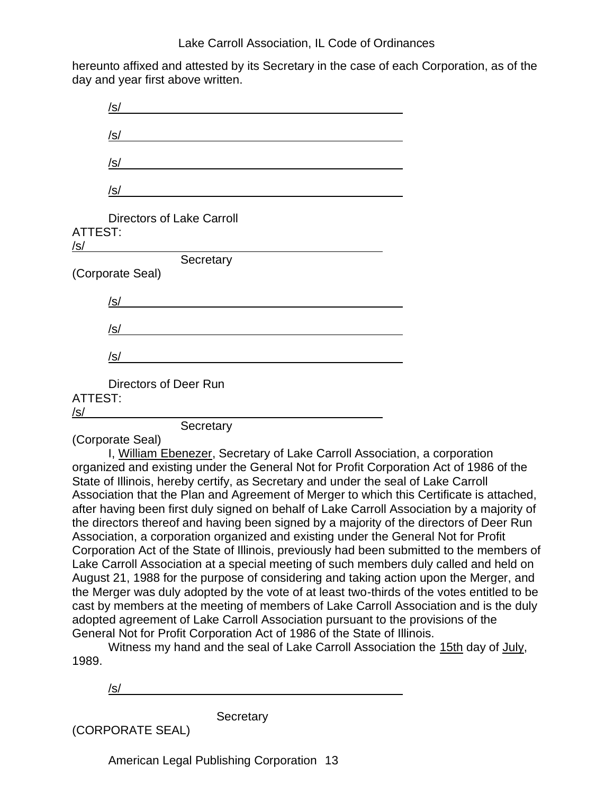hereunto affixed and attested by its Secretary in the case of each Corporation, as of the day and year first above written.

|                              | /s/                              |
|------------------------------|----------------------------------|
|                              | <u>/s/</u>                       |
|                              | /s/                              |
|                              | /s/                              |
| <b>ATTEST:</b><br><u>/s/</u> | <b>Directors of Lake Carroll</b> |
|                              | Secretary                        |
|                              | (Corporate Seal)                 |
|                              | /s/                              |
|                              | /s/                              |
|                              | /s/                              |
| ATTEST:<br>/s/               | Directors of Deer Run            |

**Secretary** 

(Corporate Seal)

I, William Ebenezer, Secretary of Lake Carroll Association, a corporation organized and existing under the General Not for Profit Corporation Act of 1986 of the State of Illinois, hereby certify, as Secretary and under the seal of Lake Carroll Association that the Plan and Agreement of Merger to which this Certificate is attached, after having been first duly signed on behalf of Lake Carroll Association by a majority of the directors thereof and having been signed by a majority of the directors of Deer Run Association, a corporation organized and existing under the General Not for Profit Corporation Act of the State of Illinois, previously had been submitted to the members of Lake Carroll Association at a special meeting of such members duly called and held on August 21, 1988 for the purpose of considering and taking action upon the Merger, and the Merger was duly adopted by the vote of at least two-thirds of the votes entitled to be cast by members at the meeting of members of Lake Carroll Association and is the duly adopted agreement of Lake Carroll Association pursuant to the provisions of the General Not for Profit Corporation Act of 1986 of the State of Illinois.

Witness my hand and the seal of Lake Carroll Association the 15th day of July, 1989.

/s/

**Secretary** 

(CORPORATE SEAL)